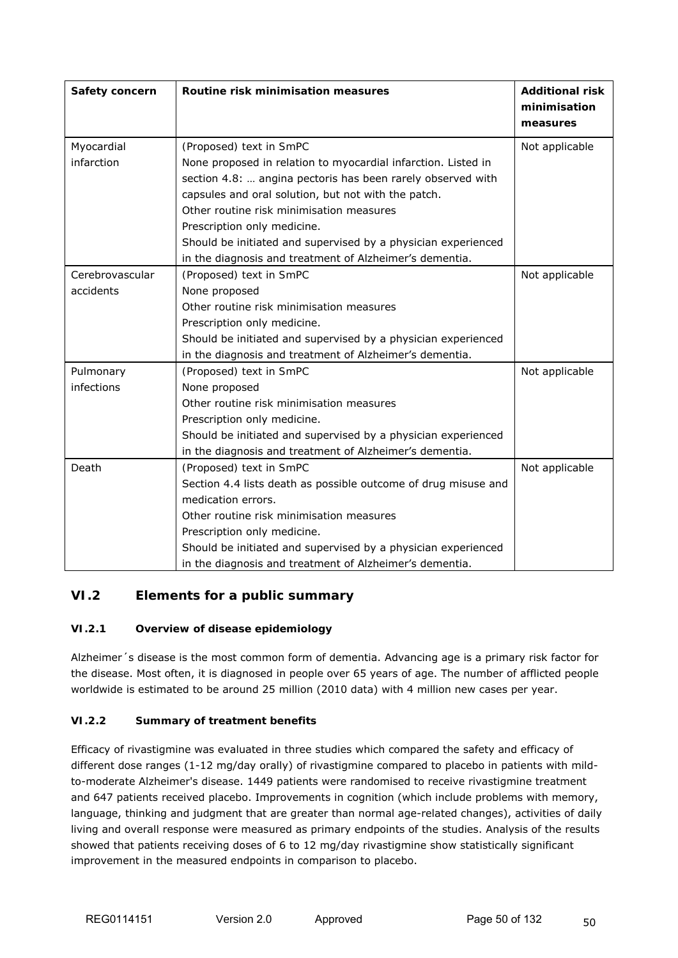# **VI.2 Elements for a public summary**

#### **VI.2.1 Overview of disease epidemiology**

Alzheimer´s disease is the most common form of dementia. Advancing age is a primary risk factor for the disease. Most often, it is diagnosed in people over 65 years of age. The number of afflicted people worldwide is estimated to be around 25 million (2010 data) with 4 million new cases per year.

#### **VI.2.2 Summary of treatment benefits**

Efficacy of rivastigmine was evaluated in three studies which compared the safety and efficacy of different dose ranges (1-12 mg/day orally) of rivastigmine compared to placebo in patients with mildto-moderate Alzheimer's disease. 1449 patients were randomised to receive rivastigmine treatment and 647 patients received placebo. Improvements in cognition (which include problems with memory, language, thinking and judgment that are greater than normal age-related changes), activities of daily living and overall response were measured as primary endpoints of the studies. Analysis of the results showed that patients receiving doses of 6 to 12 mg/day rivastigmine show statistically significant improvement in the measured endpoints in comparison to placebo.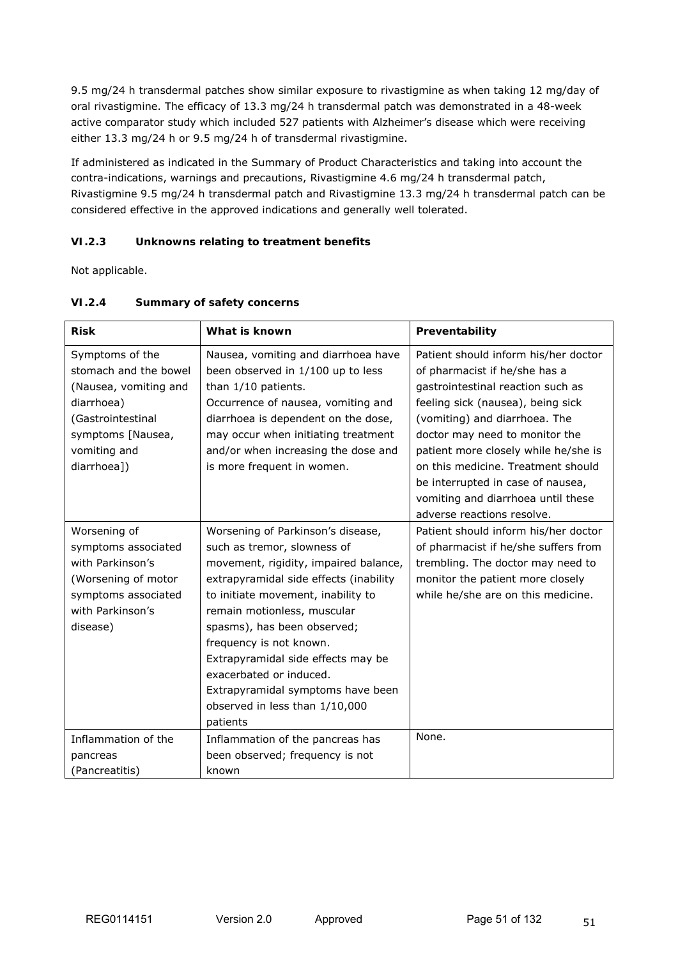9.5 mg/24 h transdermal patches show similar exposure to rivastigmine as when taking 12 mg/day of oral rivastigmine. The efficacy of 13.3 mg/24 h transdermal patch was demonstrated in a 48-week active comparator study which included 527 patients with Alzheimer's disease which were receiving either 13.3 mg/24 h or 9.5 mg/24 h of transdermal rivastigmine.

If administered as indicated in the Summary of Product Characteristics and taking into account the contra-indications, warnings and precautions, Rivastigmine 4.6 mg/24 h transdermal patch, Rivastigmine 9.5 mg/24 h transdermal patch and Rivastigmine 13.3 mg/24 h transdermal patch can be considered effective in the approved indications and generally well tolerated.

# **VI.2.3 Unknowns relating to treatment benefits**

Not applicable.

| <b>Risk</b>           | What is known                          | Preventability                       |
|-----------------------|----------------------------------------|--------------------------------------|
| Symptoms of the       | Nausea, vomiting and diarrhoea have    | Patient should inform his/her doctor |
| stomach and the bowel | been observed in 1/100 up to less      | of pharmacist if he/she has a        |
| (Nausea, vomiting and | than 1/10 patients.                    | gastrointestinal reaction such as    |
| diarrhoea)            | Occurrence of nausea, vomiting and     | feeling sick (nausea), being sick    |
| (Gastrointestinal     | diarrhoea is dependent on the dose,    | (vomiting) and diarrhoea. The        |
| symptoms [Nausea,     | may occur when initiating treatment    | doctor may need to monitor the       |
| vomiting and          | and/or when increasing the dose and    | patient more closely while he/she is |
| diarrhoea])           | is more frequent in women.             | on this medicine. Treatment should   |
|                       |                                        | be interrupted in case of nausea,    |
|                       |                                        | vomiting and diarrhoea until these   |
|                       |                                        | adverse reactions resolve.           |
| Worsening of          | Worsening of Parkinson's disease,      | Patient should inform his/her doctor |
| symptoms associated   | such as tremor, slowness of            | of pharmacist if he/she suffers from |
| with Parkinson's      | movement, rigidity, impaired balance,  | trembling. The doctor may need to    |
| (Worsening of motor   | extrapyramidal side effects (inability | monitor the patient more closely     |
| symptoms associated   | to initiate movement, inability to     | while he/she are on this medicine.   |
| with Parkinson's      | remain motionless, muscular            |                                      |
| disease)              | spasms), has been observed;            |                                      |
|                       | frequency is not known.                |                                      |
|                       | Extrapyramidal side effects may be     |                                      |
|                       | exacerbated or induced.                |                                      |
|                       | Extrapyramidal symptoms have been      |                                      |
|                       | observed in less than 1/10,000         |                                      |
|                       | patients                               |                                      |
| Inflammation of the   | Inflammation of the pancreas has       | None.                                |
| pancreas              | been observed; frequency is not        |                                      |
| (Pancreatitis)        | known                                  |                                      |

# **VI.2.4 Summary of safety concerns**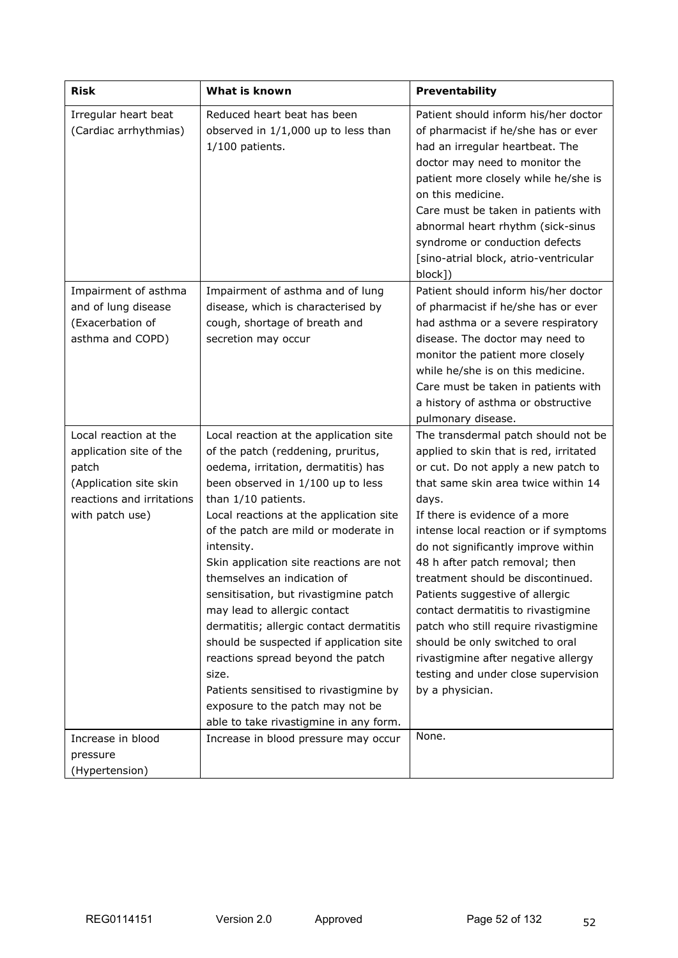| <b>Risk</b>                                                                                                                         | What is known                                                                                                                                                                                                                                                                                                                                                                                                                                                                                                                                                                                                                                                                                   | Preventability                                                                                                                                                                                                                                                                                                                                                                                                                                                                                                                                                                                                     |
|-------------------------------------------------------------------------------------------------------------------------------------|-------------------------------------------------------------------------------------------------------------------------------------------------------------------------------------------------------------------------------------------------------------------------------------------------------------------------------------------------------------------------------------------------------------------------------------------------------------------------------------------------------------------------------------------------------------------------------------------------------------------------------------------------------------------------------------------------|--------------------------------------------------------------------------------------------------------------------------------------------------------------------------------------------------------------------------------------------------------------------------------------------------------------------------------------------------------------------------------------------------------------------------------------------------------------------------------------------------------------------------------------------------------------------------------------------------------------------|
| Irregular heart beat<br>(Cardiac arrhythmias)                                                                                       | Reduced heart beat has been<br>observed in 1/1,000 up to less than<br>$1/100$ patients.                                                                                                                                                                                                                                                                                                                                                                                                                                                                                                                                                                                                         | Patient should inform his/her doctor<br>of pharmacist if he/she has or ever<br>had an irregular heartbeat. The<br>doctor may need to monitor the<br>patient more closely while he/she is<br>on this medicine.<br>Care must be taken in patients with<br>abnormal heart rhythm (sick-sinus<br>syndrome or conduction defects<br>[sino-atrial block, atrio-ventricular<br>block])                                                                                                                                                                                                                                    |
| Impairment of asthma<br>and of lung disease<br>(Exacerbation of<br>asthma and COPD)                                                 | Impairment of asthma and of lung<br>disease, which is characterised by<br>cough, shortage of breath and<br>secretion may occur                                                                                                                                                                                                                                                                                                                                                                                                                                                                                                                                                                  | Patient should inform his/her doctor<br>of pharmacist if he/she has or ever<br>had asthma or a severe respiratory<br>disease. The doctor may need to<br>monitor the patient more closely<br>while he/she is on this medicine.<br>Care must be taken in patients with<br>a history of asthma or obstructive<br>pulmonary disease.                                                                                                                                                                                                                                                                                   |
| Local reaction at the<br>application site of the<br>patch<br>(Application site skin<br>reactions and irritations<br>with patch use) | Local reaction at the application site<br>of the patch (reddening, pruritus,<br>oedema, irritation, dermatitis) has<br>been observed in 1/100 up to less<br>than 1/10 patients.<br>Local reactions at the application site<br>of the patch are mild or moderate in<br>intensity.<br>Skin application site reactions are not<br>themselves an indication of<br>sensitisation, but rivastigmine patch<br>may lead to allergic contact<br>dermatitis; allergic contact dermatitis<br>should be suspected if application site<br>reactions spread beyond the patch<br>size.<br>Patients sensitised to rivastigmine by<br>exposure to the patch may not be<br>able to take rivastigmine in any form. | The transdermal patch should not be<br>applied to skin that is red, irritated<br>or cut. Do not apply a new patch to<br>that same skin area twice within 14<br>days.<br>If there is evidence of a more<br>intense local reaction or if symptoms<br>do not significantly improve within<br>48 h after patch removal; then<br>treatment should be discontinued.<br>Patients suggestive of allergic<br>contact dermatitis to rivastigmine<br>patch who still require rivastigmine<br>should be only switched to oral<br>rivastigmine after negative allergy<br>testing and under close supervision<br>by a physician. |
| Increase in blood<br>pressure<br>(Hypertension)                                                                                     | Increase in blood pressure may occur                                                                                                                                                                                                                                                                                                                                                                                                                                                                                                                                                                                                                                                            | None.                                                                                                                                                                                                                                                                                                                                                                                                                                                                                                                                                                                                              |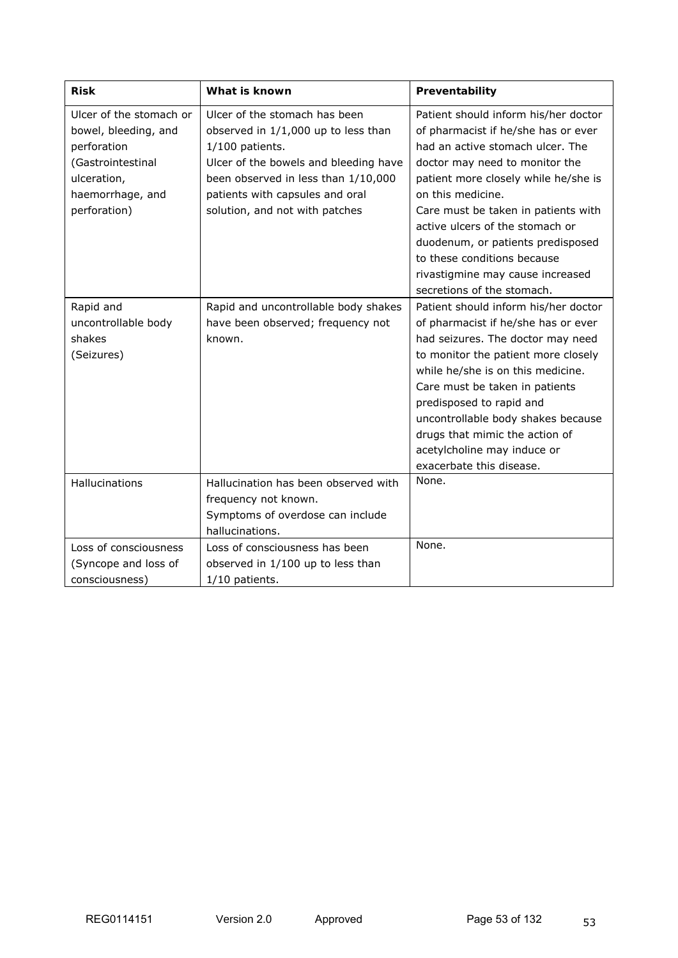| <b>Risk</b>                                                                                                                            | What is known                                                                                                                                                                                                                                  | Preventability                                                                                                                                                                                                                                                                                                                                                                                   |
|----------------------------------------------------------------------------------------------------------------------------------------|------------------------------------------------------------------------------------------------------------------------------------------------------------------------------------------------------------------------------------------------|--------------------------------------------------------------------------------------------------------------------------------------------------------------------------------------------------------------------------------------------------------------------------------------------------------------------------------------------------------------------------------------------------|
| Ulcer of the stomach or<br>bowel, bleeding, and<br>perforation<br>(Gastrointestinal<br>ulceration,<br>haemorrhage, and<br>perforation) | Ulcer of the stomach has been<br>observed in 1/1,000 up to less than<br>$1/100$ patients.<br>Ulcer of the bowels and bleeding have<br>been observed in less than 1/10,000<br>patients with capsules and oral<br>solution, and not with patches | Patient should inform his/her doctor<br>of pharmacist if he/she has or ever<br>had an active stomach ulcer. The<br>doctor may need to monitor the<br>patient more closely while he/she is<br>on this medicine.<br>Care must be taken in patients with<br>active ulcers of the stomach or<br>duodenum, or patients predisposed<br>to these conditions because<br>rivastigmine may cause increased |
|                                                                                                                                        |                                                                                                                                                                                                                                                | secretions of the stomach.                                                                                                                                                                                                                                                                                                                                                                       |
| Rapid and<br>uncontrollable body<br>shakes<br>(Seizures)                                                                               | Rapid and uncontrollable body shakes<br>have been observed; frequency not<br>known.                                                                                                                                                            | Patient should inform his/her doctor<br>of pharmacist if he/she has or ever<br>had seizures. The doctor may need<br>to monitor the patient more closely<br>while he/she is on this medicine.<br>Care must be taken in patients<br>predisposed to rapid and<br>uncontrollable body shakes because<br>drugs that mimic the action of<br>acetylcholine may induce or<br>exacerbate this disease.    |
| Hallucinations                                                                                                                         | Hallucination has been observed with<br>frequency not known.<br>Symptoms of overdose can include<br>hallucinations.                                                                                                                            | None.                                                                                                                                                                                                                                                                                                                                                                                            |
| Loss of consciousness<br>(Syncope and loss of<br>consciousness)                                                                        | Loss of consciousness has been<br>observed in 1/100 up to less than<br>1/10 patients.                                                                                                                                                          | None.                                                                                                                                                                                                                                                                                                                                                                                            |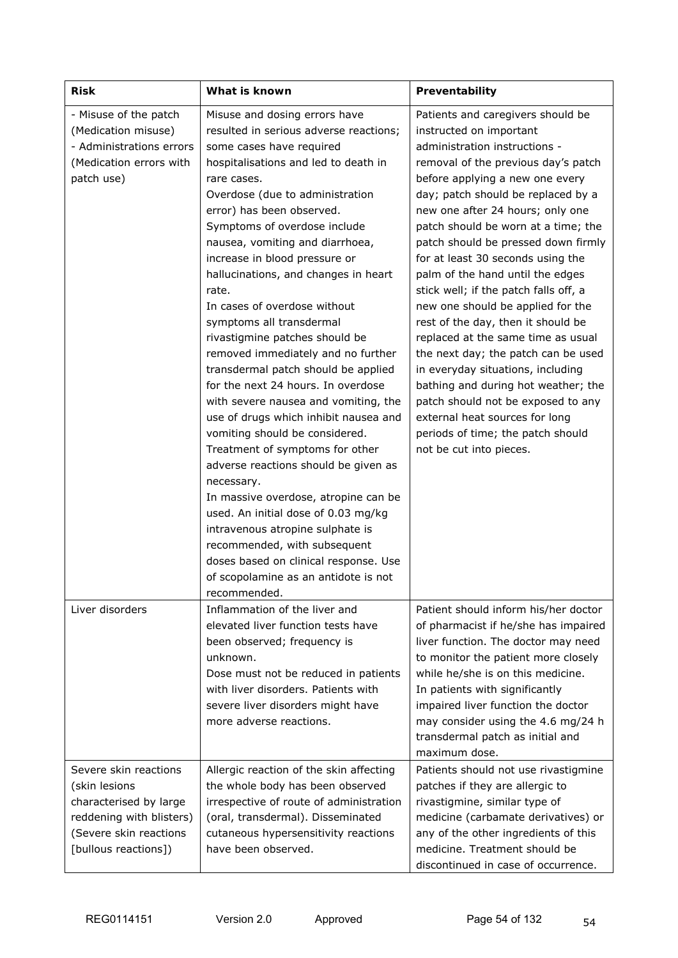| <b>Risk</b>                                                                                                                                    | What is known                                                                                                                                                                                                                                                                                                                                                                                                                                                                                                                                                                                                                                                                                                                                                                                                                                                                                                                                                                                                                                                    | Preventability                                                                                                                                                                                                                                                                                                                                                                                                                                                                                                                                                                                                                                                                                                                                                                                                                |
|------------------------------------------------------------------------------------------------------------------------------------------------|------------------------------------------------------------------------------------------------------------------------------------------------------------------------------------------------------------------------------------------------------------------------------------------------------------------------------------------------------------------------------------------------------------------------------------------------------------------------------------------------------------------------------------------------------------------------------------------------------------------------------------------------------------------------------------------------------------------------------------------------------------------------------------------------------------------------------------------------------------------------------------------------------------------------------------------------------------------------------------------------------------------------------------------------------------------|-------------------------------------------------------------------------------------------------------------------------------------------------------------------------------------------------------------------------------------------------------------------------------------------------------------------------------------------------------------------------------------------------------------------------------------------------------------------------------------------------------------------------------------------------------------------------------------------------------------------------------------------------------------------------------------------------------------------------------------------------------------------------------------------------------------------------------|
| - Misuse of the patch<br>(Medication misuse)<br>- Administrations errors<br>(Medication errors with<br>patch use)                              | Misuse and dosing errors have<br>resulted in serious adverse reactions;<br>some cases have required<br>hospitalisations and led to death in<br>rare cases.<br>Overdose (due to administration<br>error) has been observed.<br>Symptoms of overdose include<br>nausea, vomiting and diarrhoea,<br>increase in blood pressure or<br>hallucinations, and changes in heart<br>rate.<br>In cases of overdose without<br>symptoms all transdermal<br>rivastigmine patches should be<br>removed immediately and no further<br>transdermal patch should be applied<br>for the next 24 hours. In overdose<br>with severe nausea and vomiting, the<br>use of drugs which inhibit nausea and<br>vomiting should be considered.<br>Treatment of symptoms for other<br>adverse reactions should be given as<br>necessary.<br>In massive overdose, atropine can be<br>used. An initial dose of 0.03 mg/kg<br>intravenous atropine sulphate is<br>recommended, with subsequent<br>doses based on clinical response. Use<br>of scopolamine as an antidote is not<br>recommended. | Patients and caregivers should be<br>instructed on important<br>administration instructions -<br>removal of the previous day's patch<br>before applying a new one every<br>day; patch should be replaced by a<br>new one after 24 hours; only one<br>patch should be worn at a time; the<br>patch should be pressed down firmly<br>for at least 30 seconds using the<br>palm of the hand until the edges<br>stick well; if the patch falls off, a<br>new one should be applied for the<br>rest of the day, then it should be<br>replaced at the same time as usual<br>the next day; the patch can be used<br>in everyday situations, including<br>bathing and during hot weather; the<br>patch should not be exposed to any<br>external heat sources for long<br>periods of time; the patch should<br>not be cut into pieces. |
| Liver disorders                                                                                                                                | Inflammation of the liver and<br>elevated liver function tests have<br>been observed; frequency is<br>unknown.<br>Dose must not be reduced in patients<br>with liver disorders. Patients with<br>severe liver disorders might have<br>more adverse reactions.                                                                                                                                                                                                                                                                                                                                                                                                                                                                                                                                                                                                                                                                                                                                                                                                    | Patient should inform his/her doctor<br>of pharmacist if he/she has impaired<br>liver function. The doctor may need<br>to monitor the patient more closely<br>while he/she is on this medicine.<br>In patients with significantly<br>impaired liver function the doctor<br>may consider using the 4.6 mg/24 h<br>transdermal patch as initial and<br>maximum dose.                                                                                                                                                                                                                                                                                                                                                                                                                                                            |
| Severe skin reactions<br>(skin lesions<br>characterised by large<br>reddening with blisters)<br>(Severe skin reactions<br>[bullous reactions]) | Allergic reaction of the skin affecting<br>the whole body has been observed<br>irrespective of route of administration<br>(oral, transdermal). Disseminated<br>cutaneous hypersensitivity reactions<br>have been observed.                                                                                                                                                                                                                                                                                                                                                                                                                                                                                                                                                                                                                                                                                                                                                                                                                                       | Patients should not use rivastigmine<br>patches if they are allergic to<br>rivastigmine, similar type of<br>medicine (carbamate derivatives) or<br>any of the other ingredients of this<br>medicine. Treatment should be<br>discontinued in case of occurrence.                                                                                                                                                                                                                                                                                                                                                                                                                                                                                                                                                               |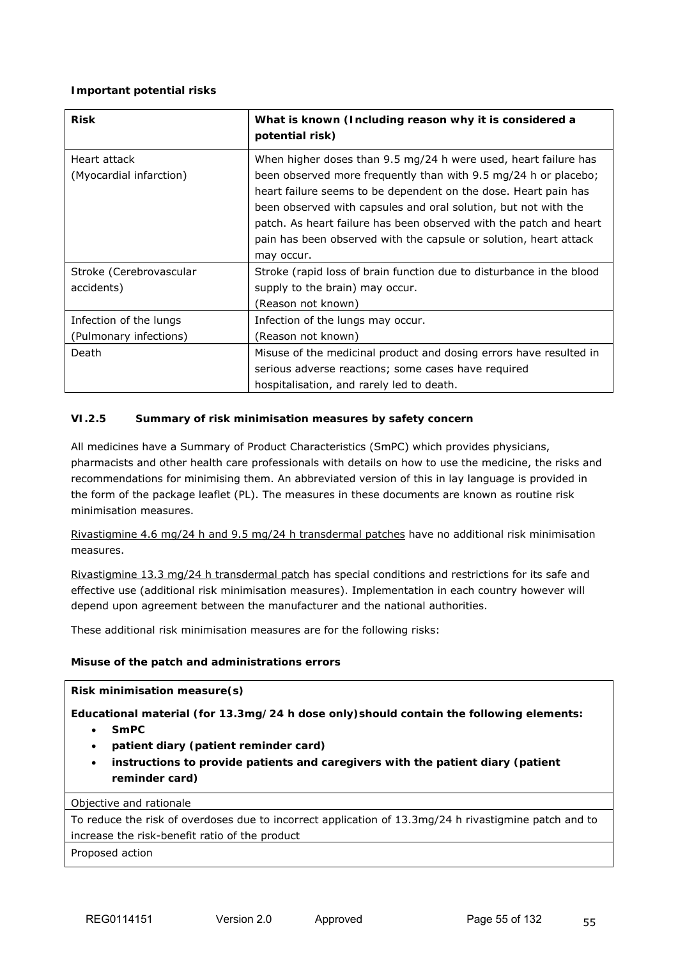### **Important potential risks**

| <b>Risk</b>                                      | What is known (Including reason why it is considered a<br>potential risk)                                                                                                                                                                                                                                                                                                                                                         |
|--------------------------------------------------|-----------------------------------------------------------------------------------------------------------------------------------------------------------------------------------------------------------------------------------------------------------------------------------------------------------------------------------------------------------------------------------------------------------------------------------|
| Heart attack<br>(Myocardial infarction)          | When higher doses than 9.5 mg/24 h were used, heart failure has<br>been observed more frequently than with 9.5 mg/24 h or placebo;<br>heart failure seems to be dependent on the dose. Heart pain has<br>been observed with capsules and oral solution, but not with the<br>patch. As heart failure has been observed with the patch and heart<br>pain has been observed with the capsule or solution, heart attack<br>may occur. |
| Stroke (Cerebrovascular<br>accidents)            | Stroke (rapid loss of brain function due to disturbance in the blood<br>supply to the brain) may occur.<br>(Reason not known)                                                                                                                                                                                                                                                                                                     |
| Infection of the lungs<br>(Pulmonary infections) | Infection of the lungs may occur.<br>(Reason not known)                                                                                                                                                                                                                                                                                                                                                                           |
| Death                                            | Misuse of the medicinal product and dosing errors have resulted in<br>serious adverse reactions; some cases have required<br>hospitalisation, and rarely led to death.                                                                                                                                                                                                                                                            |

## **VI.2.5 Summary of risk minimisation measures by safety concern**

All medicines have a Summary of Product Characteristics (SmPC) which provides physicians, pharmacists and other health care professionals with details on how to use the medicine, the risks and recommendations for minimising them. An abbreviated version of this in lay language is provided in the form of the package leaflet (PL). The measures in these documents are known as routine risk minimisation measures.

Rivastigmine 4.6 mg/24 h and 9.5 mg/24 h transdermal patches have no additional risk minimisation measures.

Rivastigmine 13.3 mg/24 h transdermal patch has special conditions and restrictions for its safe and effective use (additional risk minimisation measures). Implementation in each country however will depend upon agreement between the manufacturer and the national authorities.

These additional risk minimisation measures are for the following risks:

### **Misuse of the patch and administrations errors**

**Risk minimisation measure(s)**

**Educational material (for 13.3mg/24 h dose only)should contain the following elements:**

- **SmPC**
- **patient diary (patient reminder card)**
- **instructions to provide patients and caregivers with the patient diary (patient reminder card)**

### Objective and rationale

To reduce the risk of overdoses due to incorrect application of 13.3mg/24 h rivastigmine patch and to increase the risk-benefit ratio of the product

Proposed action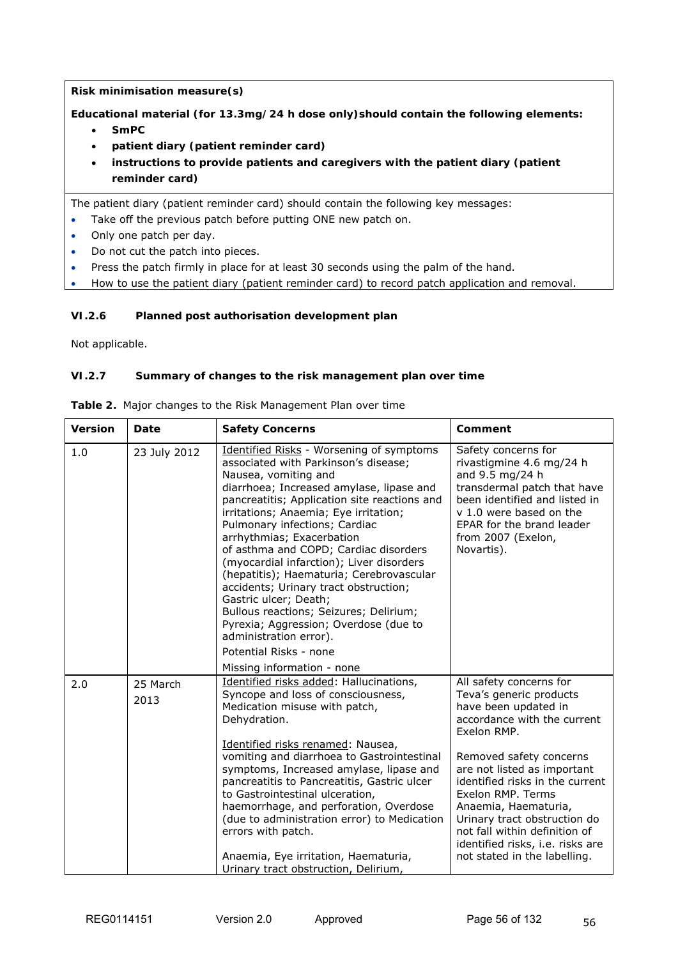**Risk minimisation measure(s)**

**Educational material (for 13.3mg/24 h dose only)should contain the following elements:**

- **SmPC**
- **patient diary (patient reminder card)**
- **instructions to provide patients and caregivers with the patient diary (patient reminder card)**

The patient diary (patient reminder card) should contain the following key messages:

- Take off the previous patch before putting ONE new patch on.
- Only one patch per day.
- Do not cut the patch into pieces.
- Press the patch firmly in place for at least 30 seconds using the palm of the hand.
- How to use the patient diary (patient reminder card) to record patch application and removal.

## **VI.2.6 Planned post authorisation development plan**

Not applicable.

## **VI.2.7 Summary of changes to the risk management plan over time**

| <b>Version</b> | Date             | <b>Safety Concerns</b>                                                                                                                                                                                                                                                                                                                                                                                                                                                                                                                                                                                                                                       | Comment                                                                                                                                                                                                                                                                                                                                                                                                 |
|----------------|------------------|--------------------------------------------------------------------------------------------------------------------------------------------------------------------------------------------------------------------------------------------------------------------------------------------------------------------------------------------------------------------------------------------------------------------------------------------------------------------------------------------------------------------------------------------------------------------------------------------------------------------------------------------------------------|---------------------------------------------------------------------------------------------------------------------------------------------------------------------------------------------------------------------------------------------------------------------------------------------------------------------------------------------------------------------------------------------------------|
| 1.0            | 23 July 2012     | <b>Identified Risks - Worsening of symptoms</b><br>associated with Parkinson's disease;<br>Nausea, vomiting and<br>diarrhoea; Increased amylase, lipase and<br>pancreatitis; Application site reactions and<br>irritations; Anaemia; Eye irritation;<br>Pulmonary infections; Cardiac<br>arrhythmias; Exacerbation<br>of asthma and COPD; Cardiac disorders<br>(myocardial infarction); Liver disorders<br>(hepatitis); Haematuria; Cerebrovascular<br>accidents; Urinary tract obstruction;<br>Gastric ulcer; Death;<br>Bullous reactions; Seizures; Delirium;<br>Pyrexia; Aggression; Overdose (due to<br>administration error).<br>Potential Risks - none | Safety concerns for<br>rivastigmine 4.6 mg/24 h<br>and 9.5 mg/24 h<br>transdermal patch that have<br>been identified and listed in<br>v 1.0 were based on the<br>EPAR for the brand leader<br>from 2007 (Exelon,<br>Novartis).                                                                                                                                                                          |
| 2.0            | 25 March<br>2013 | Missing information - none<br>Identified risks added: Hallucinations,<br>Syncope and loss of consciousness,<br>Medication misuse with patch,<br>Dehydration.<br>Identified risks renamed: Nausea,<br>vomiting and diarrhoea to Gastrointestinal<br>symptoms, Increased amylase, lipase and<br>pancreatitis to Pancreatitis, Gastric ulcer<br>to Gastrointestinal ulceration,<br>haemorrhage, and perforation, Overdose<br>(due to administration error) to Medication<br>errors with patch.<br>Anaemia, Eye irritation, Haematuria,<br>Urinary tract obstruction, Delirium,                                                                                  | All safety concerns for<br>Teva's generic products<br>have been updated in<br>accordance with the current<br>Exelon RMP.<br>Removed safety concerns<br>are not listed as important<br>identified risks in the current<br>Exelon RMP. Terms<br>Anaemia, Haematuria,<br>Urinary tract obstruction do<br>not fall within definition of<br>identified risks, i.e. risks are<br>not stated in the labelling. |

**Table 2.** Major changes to the Risk Management Plan over time

56